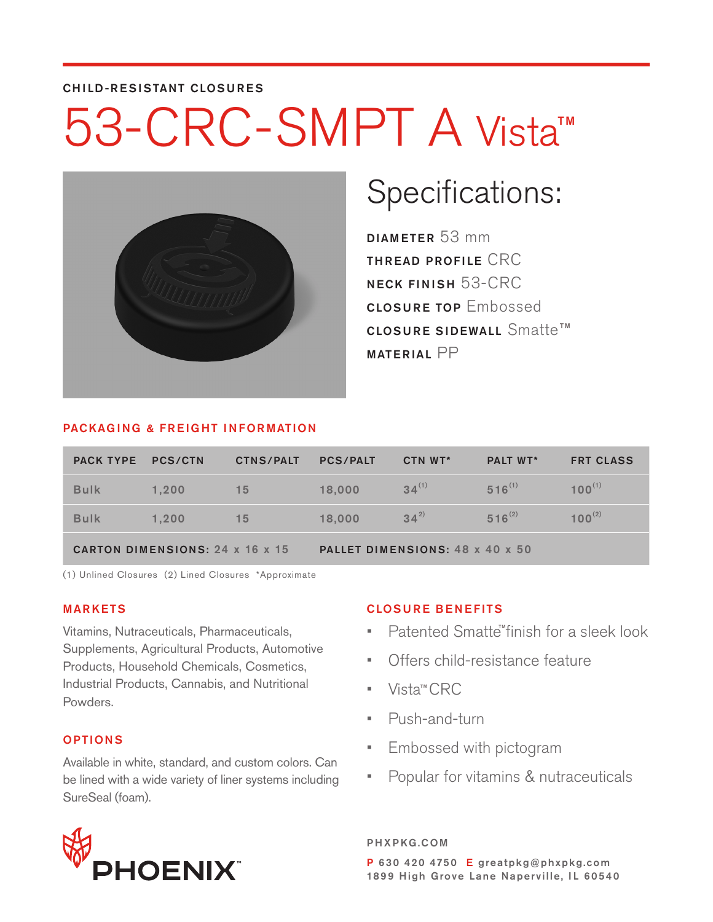#### CHILD-RESISTANT CLOSURES

## 53-CRC-SMPT A Vista TM



# Specifications:

DIAMETER 53 mm THREAD PROFILE CRC NECK FINISH 53-CRC CLOSURE TOP Embossed <code>closure</code> sidewall <code>Smatte™</code> MATERIAL PP

#### PACKAGING & FREIGHT INFORMATION

| <b>PACK TYPE PCS/CTN</b>        |       | <b>CTNS/PALT</b> | <b>PCS/PALT</b>                 | CTN WT*    | <b>PALT WT*</b> | <b>FRT CLASS</b> |  |
|---------------------------------|-------|------------------|---------------------------------|------------|-----------------|------------------|--|
| <b>Bulk</b>                     | 1.200 | 15               | 18,000                          | $34^{(1)}$ | $516^{(1)}$     | $100^{(1)}$      |  |
| <b>Bulk</b>                     | 1.200 | 15               | 18,000                          | $34^{2}$   | $516^{(2)}$     | $100^{(2)}$      |  |
| CARTON DIMENSIONS: 24 x 16 x 15 |       |                  | PALLET DIMENSIONS: 48 x 40 x 50 |            |                 |                  |  |

(1) Unlined Closures (2) Lined Closures \*Approximate

#### MARKETS

Vitamins, Nutraceuticals, Pharmaceuticals, Supplements, Agricultural Products, Automotive Products, Household Chemicals, Cosmetics, Industrial Products, Cannabis, and Nutritional Powders.

#### OPTIONS

Available in white, standard, and custom colors. Can be lined with a wide variety of liner systems including SureSeal (foam).



#### CLOSURE BENEFITS

- Patented Smatte<sup>"</sup> finish for a sleek look
- Offers child-resistance feature
- Vista™CRC
- Push-and-turn
- Embossed with pictogram
- Popular for vitamins & nutraceuticals

PHXPKG.COM P 630 420 4750 E greatpkg@phxpkg.com 1899 High Grove Lane Naperville, IL 60540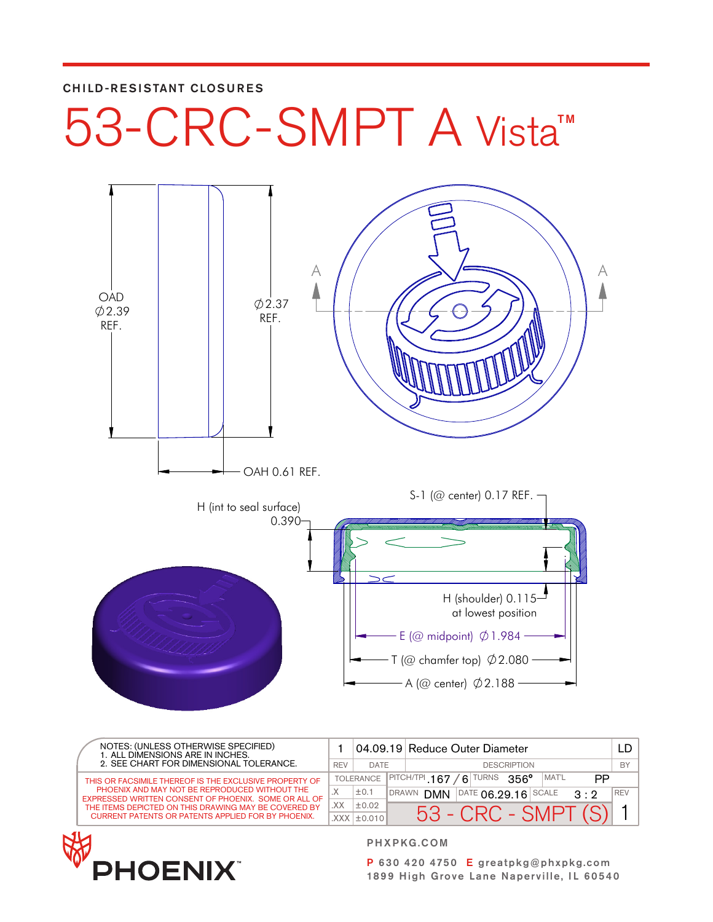#### CHILD-RESISTANT CLOSURES

# 53-CRC-SMPT A Vista™



| NOTES: (UNLESS OTHERWISE SPECIFIED)<br>1. ALL DIMENSIONS ARE IN INCHES.<br>2. SEE CHART FOR DIMENSIONAL TOLERANCE. |     |                   |              | 04.09.19 Reduce Outer Diameter                                                |            |
|--------------------------------------------------------------------------------------------------------------------|-----|-------------------|--------------|-------------------------------------------------------------------------------|------------|
|                                                                                                                    |     | DATE              |              | <b>DESCRIPTION</b>                                                            |            |
| THIS OR FACSIMILE THEREOF IS THE EXCLUSIVE PROPERTY OF                                                             |     | <b>TOLERANCE</b>  |              | $ $ PITCH/TPI 167<br><b>TURNS</b><br>MAT'L<br>$356^\circ$<br>PP<br>$\epsilon$ |            |
| PHOENIX AND MAY NOT BE REPRODUCED WITHOUT THE<br>EXPRESSED WRITTEN CONSENT OF PHOENIX. SOME OR ALL OF              |     | ±0.1              | <b>DRAWN</b> | $PATE$ 06.29.16 SCALE<br><b>DMN</b><br>$3 \cdot 2$                            | <b>REV</b> |
| THE ITEMS DEPICTED ON THIS DRAWING MAY BE COVERED BY                                                               | .XX | $\pm 0.02$        |              | 53 - CRC - SMPT                                                               |            |
| <b>CURRENT PATENTS OR PATENTS APPLIED FOR BY PHOENIX.</b>                                                          |     | $XXX$ $\pm$ 0.010 |              |                                                                               |            |



PHXPKG.COM

P 630 420 4750 E greatpkg@phxpkg.com 1899 High Grove Lane Naperville, IL 60540